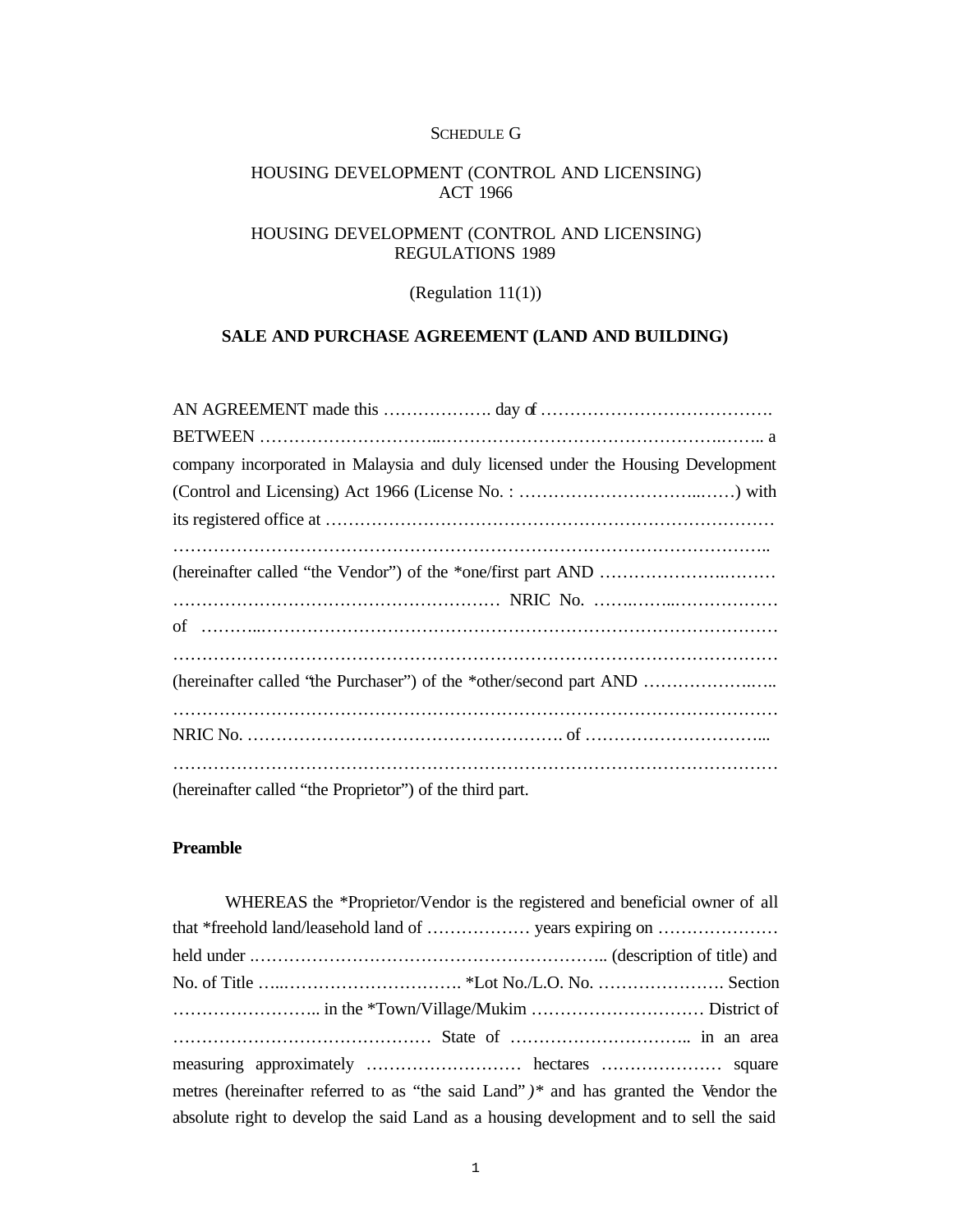# SCHEDULE G

# HOUSING DEVELOPMENT (CONTROL AND LICENSING) ACT 1966

# HOUSING DEVELOPMENT (CONTROL AND LICENSING) REGULATIONS 1989

(Regulation 11(1))

# **SALE AND PURCHASE AGREEMENT (LAND AND BUILDING)**

| company incorporated in Malaysia and duly licensed under the Housing Development |
|----------------------------------------------------------------------------------|
|                                                                                  |
|                                                                                  |
|                                                                                  |
|                                                                                  |
|                                                                                  |
|                                                                                  |
|                                                                                  |
| (hereinafter called 'the Purchaser'') of the *other/second part AND              |
|                                                                                  |
|                                                                                  |
|                                                                                  |
| (hereinafter called "the Proprietor") of the third part.                         |

# **Preamble**

| WHEREAS the *Proprietor/Vendor is the registered and beneficial owner of all          |
|---------------------------------------------------------------------------------------|
|                                                                                       |
|                                                                                       |
|                                                                                       |
|                                                                                       |
|                                                                                       |
|                                                                                       |
| metres (hereinafter referred to as "the said Land") * and has granted the Vendor the  |
| absolute right to develop the said Land as a housing development and to sell the said |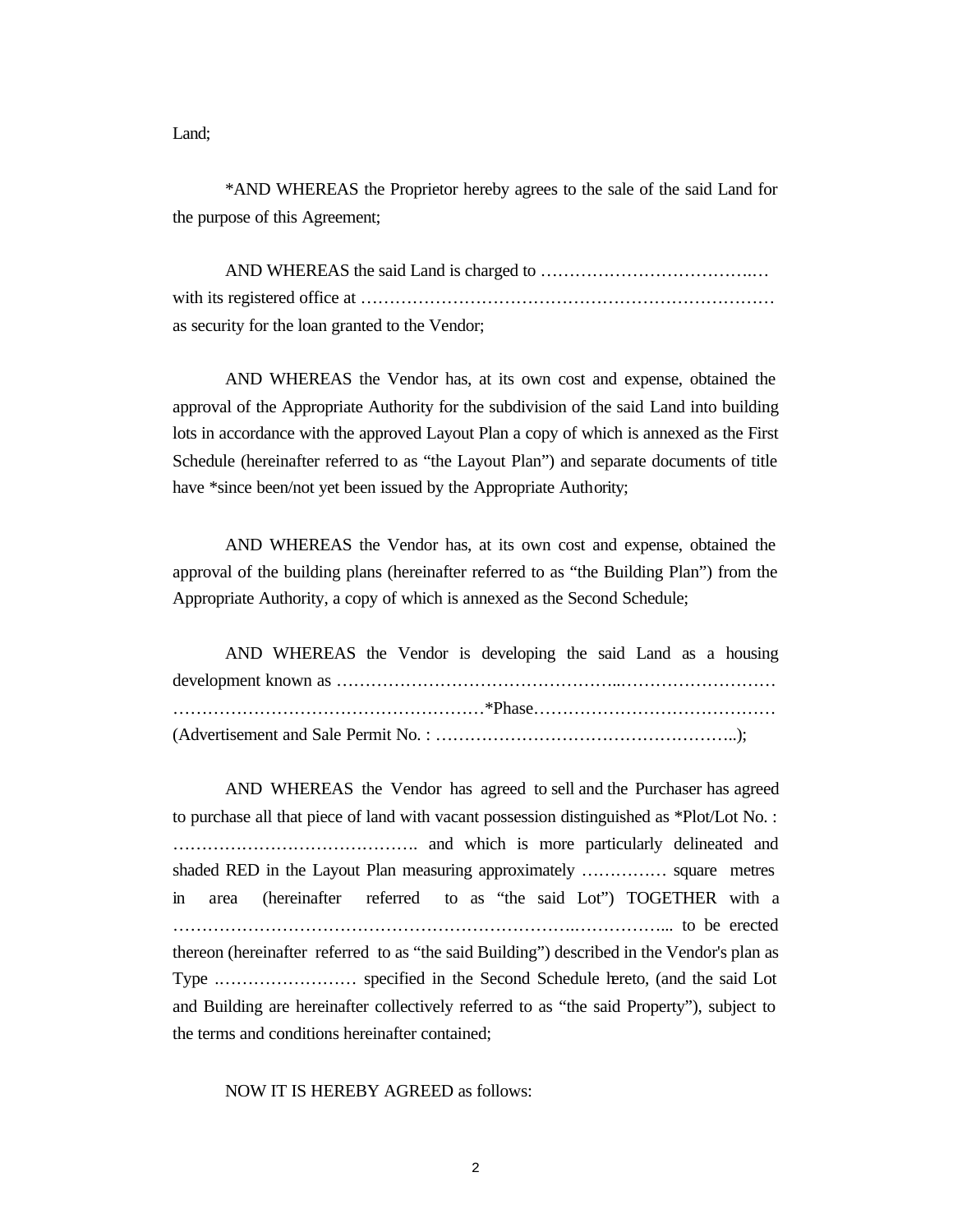Land;

\*AND WHEREAS the Proprietor hereby agrees to the sale of the said Land for the purpose of this Agreement;

AND WHEREAS the said Land is charged to ……………………………….… with its registered office at ……………………………………………………………… as security for the loan granted to the Vendor;

AND WHEREAS the Vendor has, at its own cost and expense, obtained the approval of the Appropriate Authority for the subdivision of the said Land into building lots in accordance with the approved Layout Plan a copy of which is annexed as the First Schedule (hereinafter referred to as "the Layout Plan") and separate documents of title have \*since been/not yet been issued by the Appropriate Authority;

AND WHEREAS the Vendor has, at its own cost and expense, obtained the approval of the building plans (hereinafter referred to as "the Building Plan") from the Appropriate Authority, a copy of which is annexed as the Second Schedule;

| AND WHEREAS the Vendor is developing the said Land as a housing |  |  |  |  |  |
|-----------------------------------------------------------------|--|--|--|--|--|
|                                                                 |  |  |  |  |  |
|                                                                 |  |  |  |  |  |
|                                                                 |  |  |  |  |  |

AND WHEREAS the Vendor has agreed to sell and the Purchaser has agreed to purchase all that piece of land with vacant possession distinguished as \*Plot/Lot No. : ……………………………………. and which is more particularly delineated and shaded RED in the Layout Plan measuring approximately …………… square metres in area (hereinafter referred to as "the said Lot") TOGETHER with a …………………………………………………………….……………... to be erected thereon (hereinafter referred to as "the said Building") described in the Vendor's plan as Type .…………………… specified in the Second Schedule hereto, (and the said Lot and Building are hereinafter collectively referred to as "the said Property"), subject to the terms and conditions hereinafter contained;

NOW IT IS HEREBY AGREED as follows: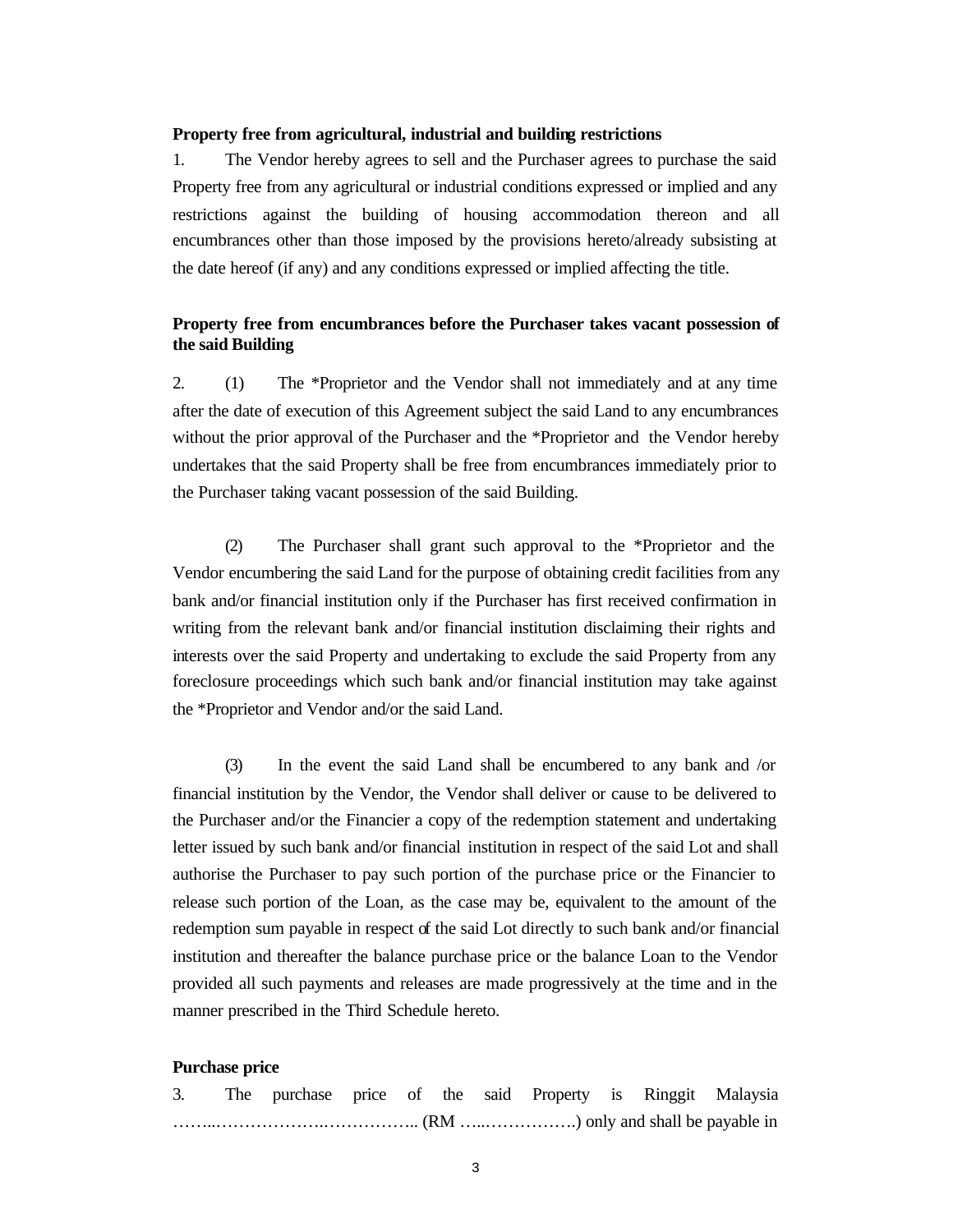#### **Property free from agricultural, industrial and building restrictions**

1. The Vendor hereby agrees to sell and the Purchaser agrees to purchase the said Property free from any agricultural or industrial conditions expressed or implied and any restrictions against the building of housing accommodation thereon and all encumbrances other than those imposed by the provisions hereto/already subsisting at the date hereof (if any) and any conditions expressed or implied affecting the title.

# **Property free from encumbrances before the Purchaser takes vacant possession of the said Building**

2. (1) The \*Proprietor and the Vendor shall not immediately and at any time after the date of execution of this Agreement subject the said Land to any encumbrances without the prior approval of the Purchaser and the \*Proprietor and the Vendor hereby undertakes that the said Property shall be free from encumbrances immediately prior to the Purchaser taking vacant possession of the said Building.

(2) The Purchaser shall grant such approval to the \*Proprietor and the Vendor encumbering the said Land for the purpose of obtaining credit facilities from any bank and/or financial institution only if the Purchaser has first received confirmation in writing from the relevant bank and/or financial institution disclaiming their rights and interests over the said Property and undertaking to exclude the said Property from any foreclosure proceedings which such bank and/or financial institution may take against the \*Proprietor and Vendor and/or the said Land.

(3) In the event the said Land shall be encumbered to any bank and /or financial institution by the Vendor, the Vendor shall deliver or cause to be delivered to the Purchaser and/or the Financier a copy of the redemption statement and undertaking letter issued by such bank and/or financial institution in respect of the said Lot and shall authorise the Purchaser to pay such portion of the purchase price or the Financier to release such portion of the Loan, as the case may be, equivalent to the amount of the redemption sum payable in respect of the said Lot directly to such bank and/or financial institution and thereafter the balance purchase price or the balance Loan to the Vendor provided all such payments and releases are made progressively at the time and in the manner prescribed in the Third Schedule hereto.

### **Purchase price**

|  | 3. The purchase price of the said Property is Ringgit Malaysia |  |  |  |  |
|--|----------------------------------------------------------------|--|--|--|--|
|  |                                                                |  |  |  |  |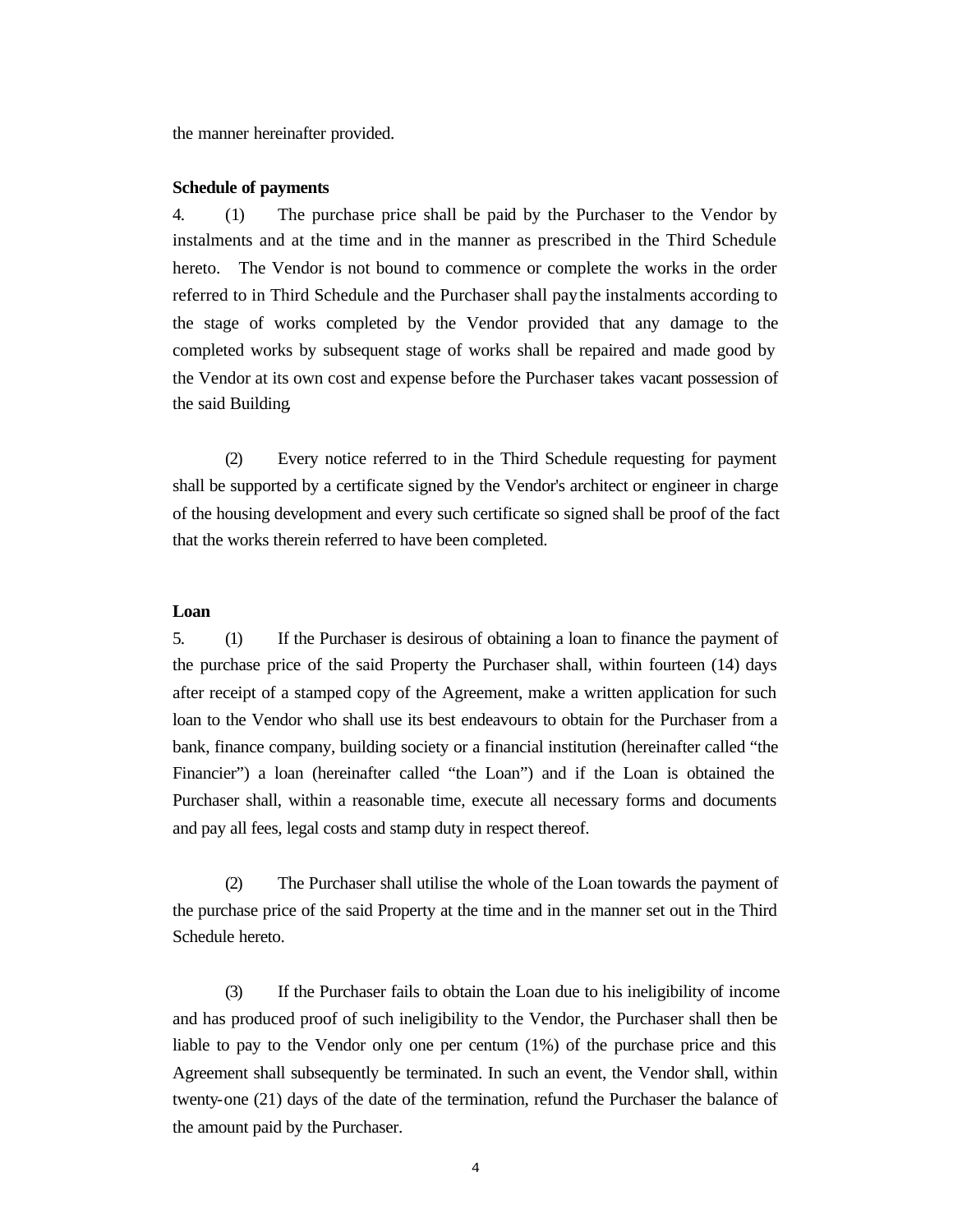the manner hereinafter provided.

### **Schedule of payments**

4. (1) The purchase price shall be paid by the Purchaser to the Vendor by instalments and at the time and in the manner as prescribed in the Third Schedule hereto. The Vendor is not bound to commence or complete the works in the order referred to in Third Schedule and the Purchaser shall pay the instalments according to the stage of works completed by the Vendor provided that any damage to the completed works by subsequent stage of works shall be repaired and made good by the Vendor at its own cost and expense before the Purchaser takes vacant possession of the said Building.

(2) Every notice referred to in the Third Schedule requesting for payment shall be supported by a certificate signed by the Vendor's architect or engineer in charge of the housing development and every such certificate so signed shall be proof of the fact that the works therein referred to have been completed.

## **Loan**

5. (1) If the Purchaser is desirous of obtaining a loan to finance the payment of the purchase price of the said Property the Purchaser shall, within fourteen (14) days after receipt of a stamped copy of the Agreement, make a written application for such loan to the Vendor who shall use its best endeavours to obtain for the Purchaser from a bank, finance company, building society or a financial institution (hereinafter called "the Financier") a loan (hereinafter called "the Loan") and if the Loan is obtained the Purchaser shall, within a reasonable time, execute all necessary forms and documents and pay all fees, legal costs and stamp duty in respect thereof.

(2) The Purchaser shall utilise the whole of the Loan towards the payment of the purchase price of the said Property at the time and in the manner set out in the Third Schedule hereto.

(3) If the Purchaser fails to obtain the Loan due to his ineligibility of income and has produced proof of such ineligibility to the Vendor, the Purchaser shall then be liable to pay to the Vendor only one per centum (1%) of the purchase price and this Agreement shall subsequently be terminated. In such an event, the Vendor shall, within twenty-one (21) days of the date of the termination, refund the Purchaser the balance of the amount paid by the Purchaser.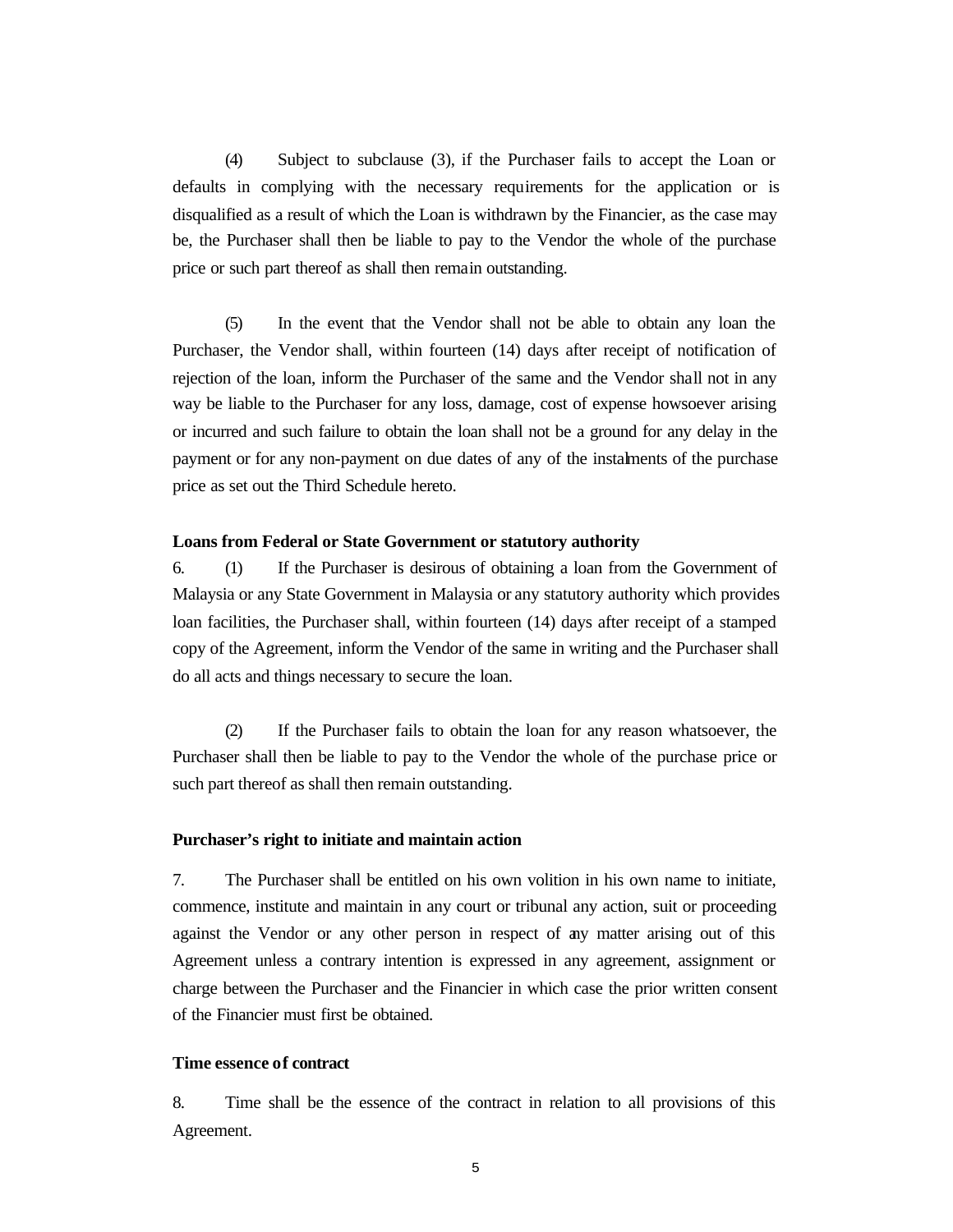(4) Subject to subclause (3), if the Purchaser fails to accept the Loan or defaults in complying with the necessary requirements for the application or is disqualified as a result of which the Loan is withdrawn by the Financier, as the case may be, the Purchaser shall then be liable to pay to the Vendor the whole of the purchase price or such part thereof as shall then remain outstanding.

(5) In the event that the Vendor shall not be able to obtain any loan the Purchaser, the Vendor shall, within fourteen (14) days after receipt of notification of rejection of the loan, inform the Purchaser of the same and the Vendor shall not in any way be liable to the Purchaser for any loss, damage, cost of expense howsoever arising or incurred and such failure to obtain the loan shall not be a ground for any delay in the payment or for any non-payment on due dates of any of the instalments of the purchase price as set out the Third Schedule hereto.

#### **Loans from Federal or State Government or statutory authority**

6. (1) If the Purchaser is desirous of obtaining a loan from the Government of Malaysia or any State Government in Malaysia or any statutory authority which provides loan facilities, the Purchaser shall, within fourteen (14) days after receipt of a stamped copy of the Agreement, inform the Vendor of the same in writing and the Purchaser shall do all acts and things necessary to secure the loan.

(2) If the Purchaser fails to obtain the loan for any reason whatsoever, the Purchaser shall then be liable to pay to the Vendor the whole of the purchase price or such part thereof as shall then remain outstanding.

### **Purchaser's right to initiate and maintain action**

7. The Purchaser shall be entitled on his own volition in his own name to initiate, commence, institute and maintain in any court or tribunal any action, suit or proceeding against the Vendor or any other person in respect of any matter arising out of this Agreement unless a contrary intention is expressed in any agreement, assignment or charge between the Purchaser and the Financier in which case the prior written consent of the Financier must first be obtained.

#### **Time essence of contract**

8. Time shall be the essence of the contract in relation to all provisions of this Agreement.

5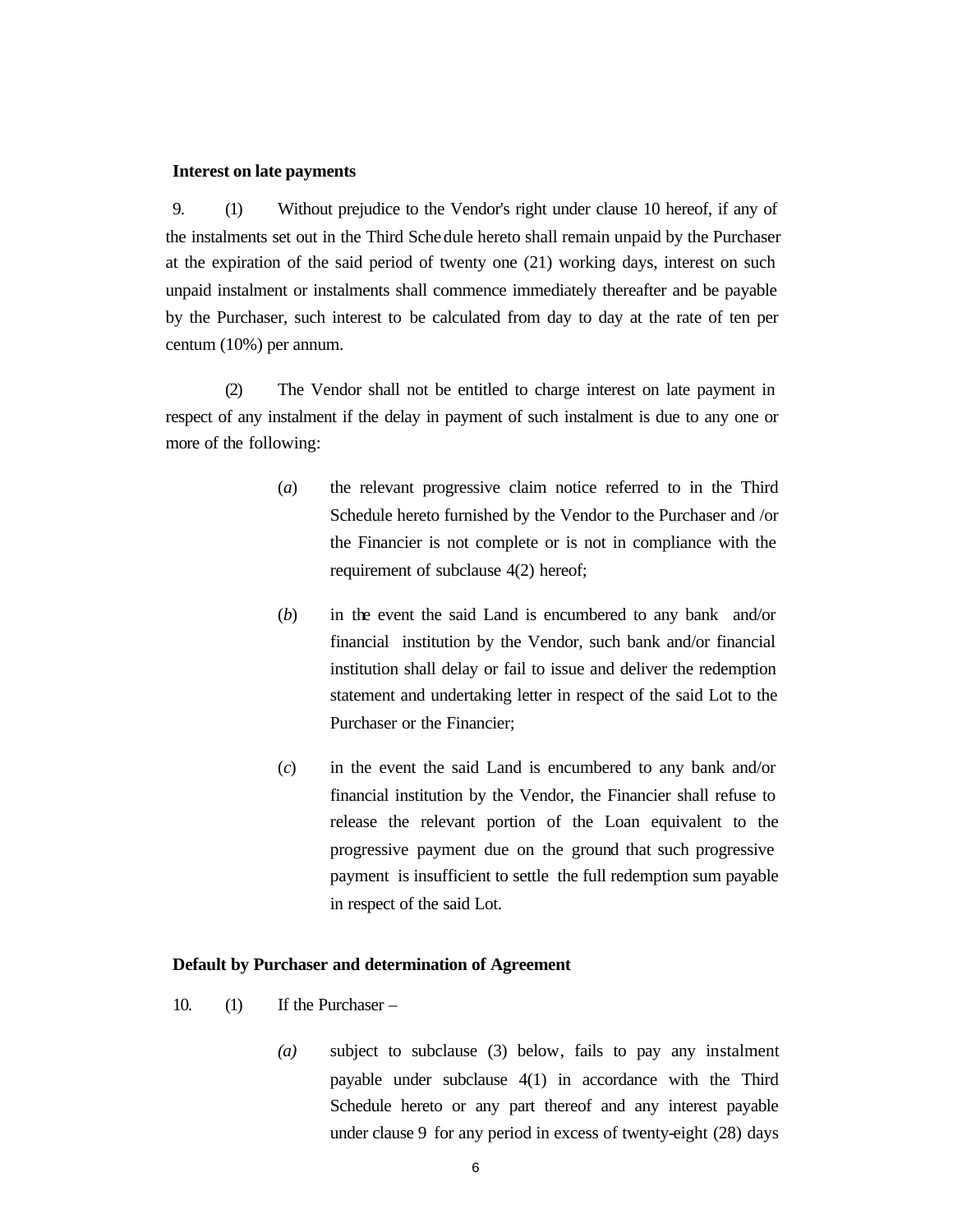#### **Interest on late payments**

9. (1) Without prejudice to the Vendor's right under clause 10 hereof, if any of the instalments set out in the Third Schedule hereto shall remain unpaid by the Purchaser at the expiration of the said period of twenty one (21) working days, interest on such unpaid instalment or instalments shall commence immediately thereafter and be payable by the Purchaser, such interest to be calculated from day to day at the rate of ten per centum (10%) per annum.

(2) The Vendor shall not be entitled to charge interest on late payment in respect of any instalment if the delay in payment of such instalment is due to any one or more of the following:

- (*a*) the relevant progressive claim notice referred to in the Third Schedule hereto furnished by the Vendor to the Purchaser and /or the Financier is not complete or is not in compliance with the requirement of subclause 4(2) hereof;
- (*b*) in the event the said Land is encumbered to any bank and/or financial institution by the Vendor, such bank and/or financial institution shall delay or fail to issue and deliver the redemption statement and undertaking letter in respect of the said Lot to the Purchaser or the Financier;
- (*c*) in the event the said Land is encumbered to any bank and/or financial institution by the Vendor, the Financier shall refuse to release the relevant portion of the Loan equivalent to the progressive payment due on the ground that such progressive payment is insufficient to settle the full redemption sum payable in respect of the said Lot.

### **Default by Purchaser and determination of Agreement**

- 10. (1) If the Purchaser
	- *(a)* subject to subclause (3) below, fails to pay any instalment payable under subclause 4(1) in accordance with the Third Schedule hereto or any part thereof and any interest payable under clause 9 for any period in excess of twenty-eight (28) days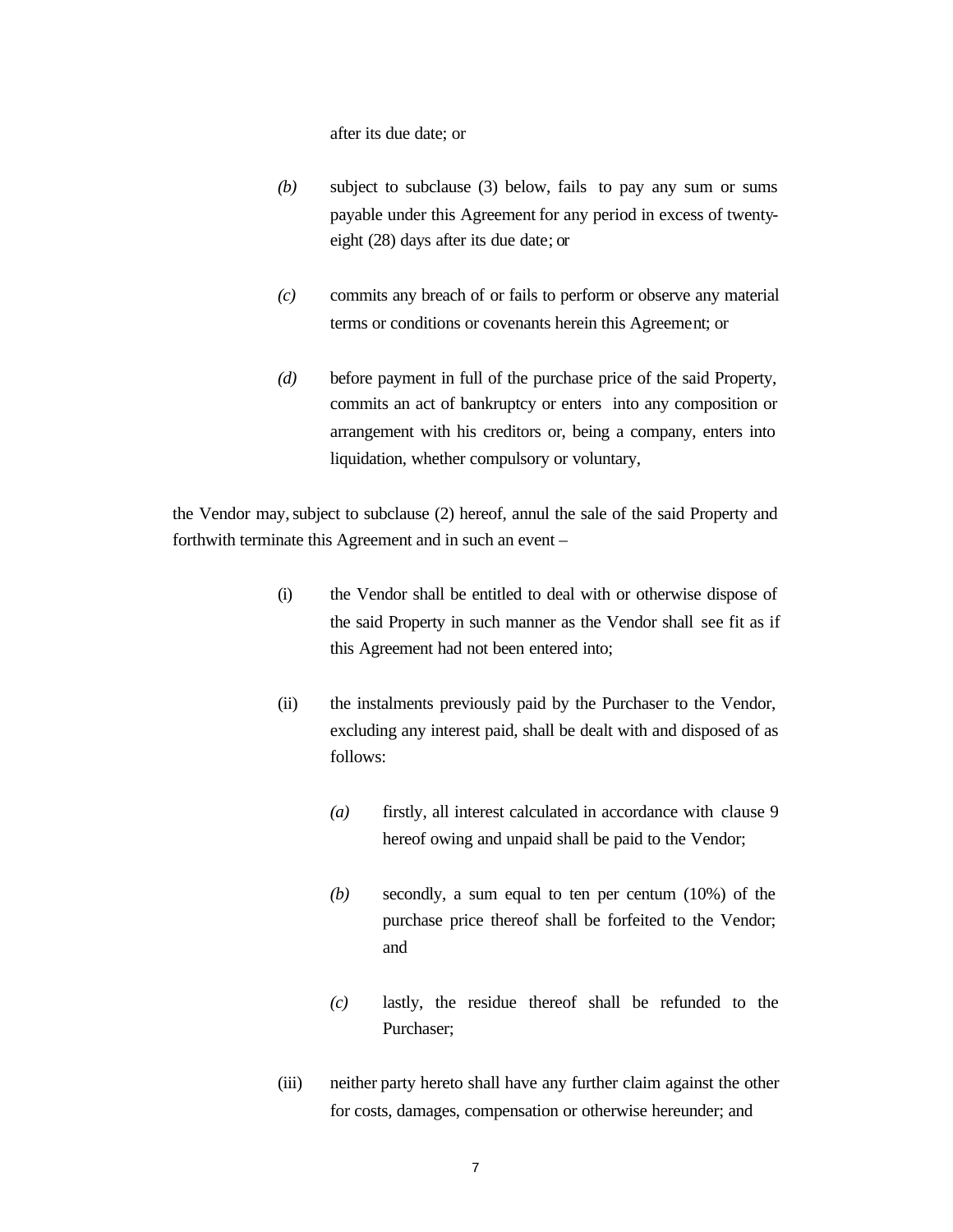after its due date; or

- *(b)* subject to subclause (3) below, fails to pay any sum or sums payable under this Agreement for any period in excess of twentyeight (28) days after its due date; or
- *(c)* commits any breach of or fails to perform or observe any material terms or conditions or covenants herein this Agreement; or
- *(d)* before payment in full of the purchase price of the said Property, commits an act of bankruptcy or enters into any composition or arrangement with his creditors or, being a company, enters into liquidation, whether compulsory or voluntary,

the Vendor may, subject to subclause (2) hereof, annul the sale of the said Property and forthwith terminate this Agreement and in such an event –

- (i) the Vendor shall be entitled to deal with or otherwise dispose of the said Property in such manner as the Vendor shall see fit as if this Agreement had not been entered into;
- (ii) the instalments previously paid by the Purchaser to the Vendor, excluding any interest paid, shall be dealt with and disposed of as follows:
	- *(a)* firstly, all interest calculated in accordance with clause 9 hereof owing and unpaid shall be paid to the Vendor;
	- *(b)* secondly, a sum equal to ten per centum (10%) of the purchase price thereof shall be forfeited to the Vendor; and
	- *(c)* lastly, the residue thereof shall be refunded to the Purchaser;
- (iii) neither party hereto shall have any further claim against the other for costs, damages, compensation or otherwise hereunder; and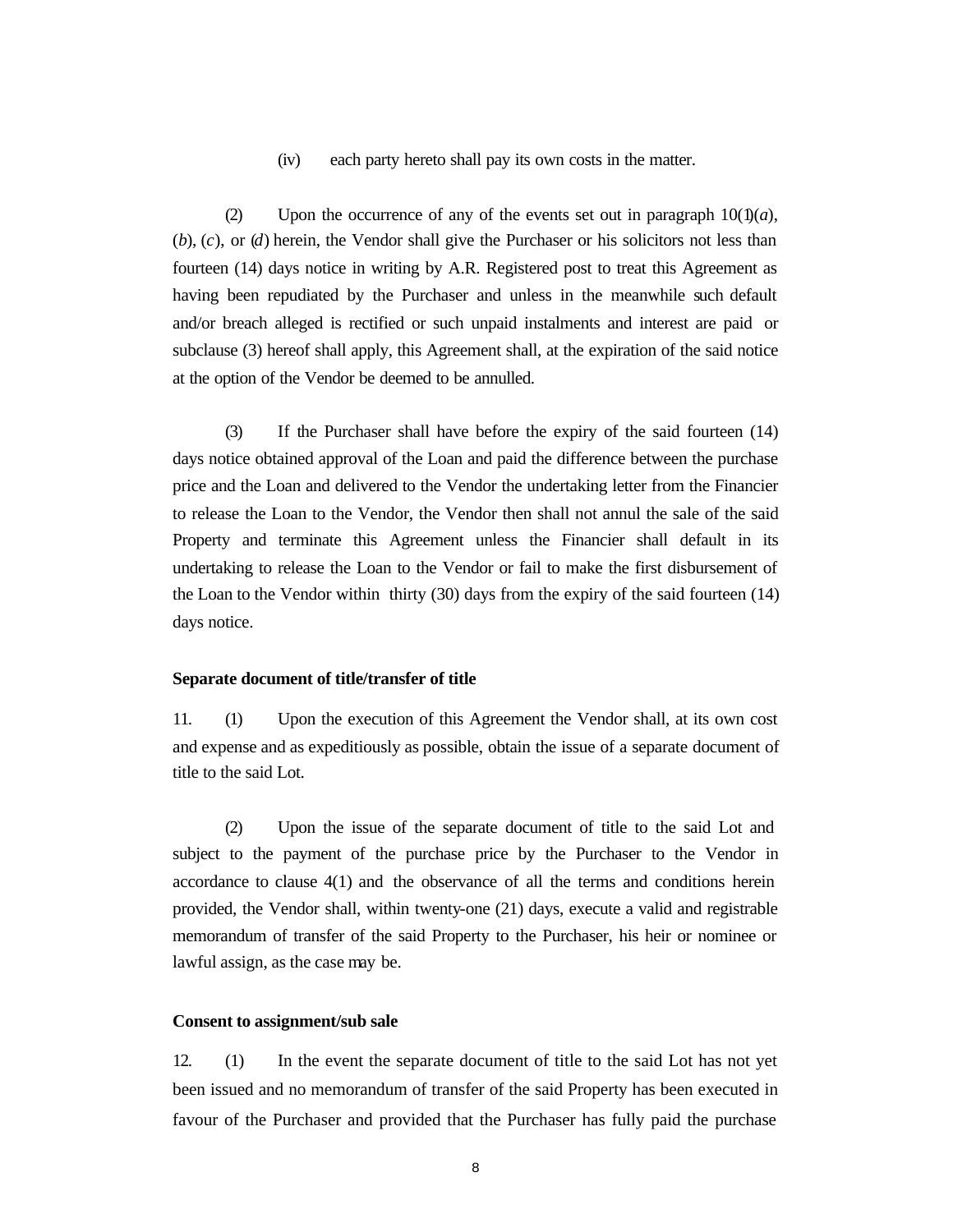(iv) each party hereto shall pay its own costs in the matter.

(2) Upon the occurrence of any of the events set out in paragraph  $10(1)(a)$ , (*b*), (*c*), or (*d*) herein, the Vendor shall give the Purchaser or his solicitors not less than fourteen (14) days notice in writing by A.R. Registered post to treat this Agreement as having been repudiated by the Purchaser and unless in the meanwhile such default and/or breach alleged is rectified or such unpaid instalments and interest are paid or subclause (3) hereof shall apply, this Agreement shall, at the expiration of the said notice at the option of the Vendor be deemed to be annulled.

(3) If the Purchaser shall have before the expiry of the said fourteen (14) days notice obtained approval of the Loan and paid the difference between the purchase price and the Loan and delivered to the Vendor the undertaking letter from the Financier to release the Loan to the Vendor, the Vendor then shall not annul the sale of the said Property and terminate this Agreement unless the Financier shall default in its undertaking to release the Loan to the Vendor or fail to make the first disbursement of the Loan to the Vendor within thirty (30) days from the expiry of the said fourteen (14) days notice.

#### **Separate document of title/transfer of title**

11. (1) Upon the execution of this Agreement the Vendor shall, at its own cost and expense and as expeditiously as possible, obtain the issue of a separate document of title to the said Lot.

(2) Upon the issue of the separate document of title to the said Lot and subject to the payment of the purchase price by the Purchaser to the Vendor in accordance to clause 4(1) and the observance of all the terms and conditions herein provided, the Vendor shall, within twenty-one (21) days, execute a valid and registrable memorandum of transfer of the said Property to the Purchaser, his heir or nominee or lawful assign, as the case may be.

#### **Consent to assignment/sub sale**

12. (1) In the event the separate document of title to the said Lot has not yet been issued and no memorandum of transfer of the said Property has been executed in favour of the Purchaser and provided that the Purchaser has fully paid the purchase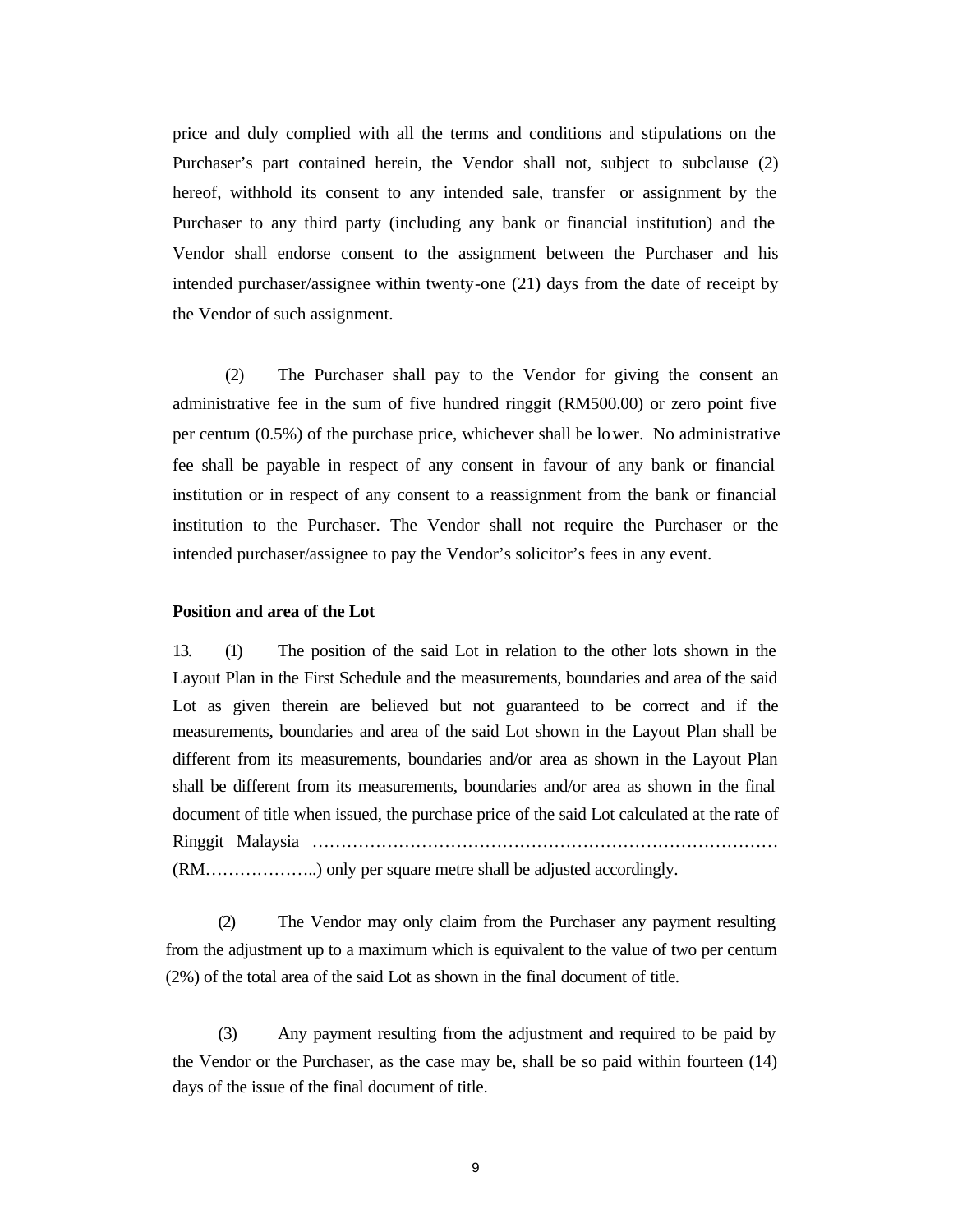price and duly complied with all the terms and conditions and stipulations on the Purchaser's part contained herein, the Vendor shall not, subject to subclause (2) hereof, withhold its consent to any intended sale, transfer or assignment by the Purchaser to any third party (including any bank or financial institution) and the Vendor shall endorse consent to the assignment between the Purchaser and his intended purchaser/assignee within twenty-one (21) days from the date of receipt by the Vendor of such assignment.

(2) The Purchaser shall pay to the Vendor for giving the consent an administrative fee in the sum of five hundred ringgit (RM500.00) or zero point five per centum (0.5%) of the purchase price, whichever shall be lower. No administrative fee shall be payable in respect of any consent in favour of any bank or financial institution or in respect of any consent to a reassignment from the bank or financial institution to the Purchaser. The Vendor shall not require the Purchaser or the intended purchaser/assignee to pay the Vendor's solicitor's fees in any event.

#### **Position and area of the Lot**

13. (1) The position of the said Lot in relation to the other lots shown in the Layout Plan in the First Schedule and the measurements, boundaries and area of the said Lot as given therein are believed but not guaranteed to be correct and if the measurements, boundaries and area of the said Lot shown in the Layout Plan shall be different from its measurements, boundaries and/or area as shown in the Layout Plan shall be different from its measurements, boundaries and/or area as shown in the final document of title when issued, the purchase price of the said Lot calculated at the rate of Ringgit Malaysia ……………………………………………………………………… (RM………………..) only per square metre shall be adjusted accordingly.

(2) The Vendor may only claim from the Purchaser any payment resulting from the adjustment up to a maximum which is equivalent to the value of two per centum (2%) of the total area of the said Lot as shown in the final document of title.

(3) Any payment resulting from the adjustment and required to be paid by the Vendor or the Purchaser, as the case may be, shall be so paid within fourteen (14) days of the issue of the final document of title.

9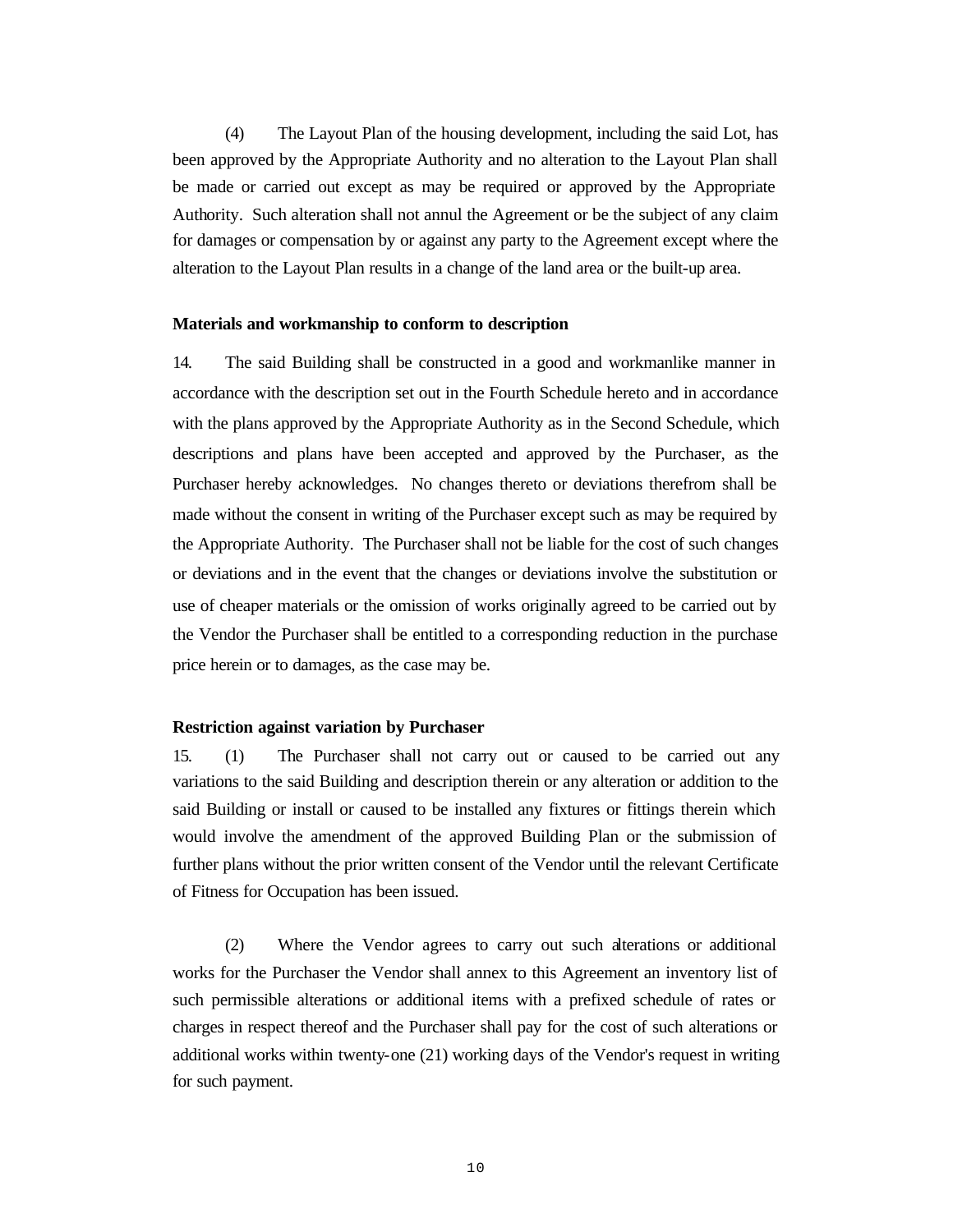(4) The Layout Plan of the housing development, including the said Lot, has been approved by the Appropriate Authority and no alteration to the Layout Plan shall be made or carried out except as may be required or approved by the Appropriate Authority. Such alteration shall not annul the Agreement or be the subject of any claim for damages or compensation by or against any party to the Agreement except where the alteration to the Layout Plan results in a change of the land area or the built-up area.

#### **Materials and workmanship to conform to description**

14. The said Building shall be constructed in a good and workmanlike manner in accordance with the description set out in the Fourth Schedule hereto and in accordance with the plans approved by the Appropriate Authority as in the Second Schedule, which descriptions and plans have been accepted and approved by the Purchaser, as the Purchaser hereby acknowledges. No changes thereto or deviations therefrom shall be made without the consent in writing of the Purchaser except such as may be required by the Appropriate Authority. The Purchaser shall not be liable for the cost of such changes or deviations and in the event that the changes or deviations involve the substitution or use of cheaper materials or the omission of works originally agreed to be carried out by the Vendor the Purchaser shall be entitled to a corresponding reduction in the purchase price herein or to damages, as the case may be.

### **Restriction against variation by Purchaser**

15. (1) The Purchaser shall not carry out or caused to be carried out any variations to the said Building and description therein or any alteration or addition to the said Building or install or caused to be installed any fixtures or fittings therein which would involve the amendment of the approved Building Plan or the submission of further plans without the prior written consent of the Vendor until the relevant Certificate of Fitness for Occupation has been issued.

(2) Where the Vendor agrees to carry out such alterations or additional works for the Purchaser the Vendor shall annex to this Agreement an inventory list of such permissible alterations or additional items with a prefixed schedule of rates or charges in respect thereof and the Purchaser shall pay for the cost of such alterations or additional works within twenty-one (21) working days of the Vendor's request in writing for such payment.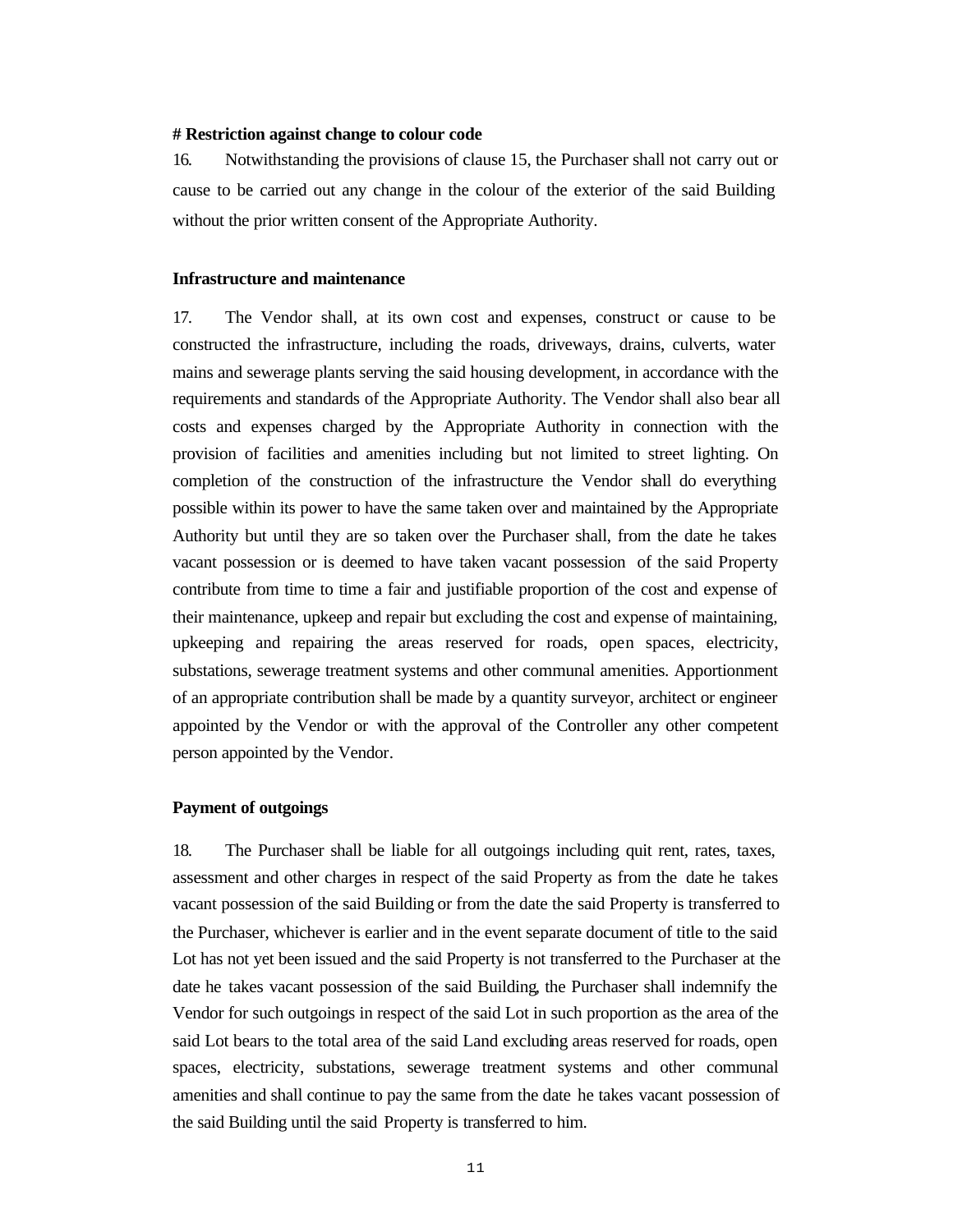#### **# Restriction against change to colour code**

16. Notwithstanding the provisions of clause 15, the Purchaser shall not carry out or cause to be carried out any change in the colour of the exterior of the said Building without the prior written consent of the Appropriate Authority.

#### **Infrastructure and maintenance**

17. The Vendor shall, at its own cost and expenses, construct or cause to be constructed the infrastructure, including the roads, driveways, drains, culverts, water mains and sewerage plants serving the said housing development, in accordance with the requirements and standards of the Appropriate Authority. The Vendor shall also bear all costs and expenses charged by the Appropriate Authority in connection with the provision of facilities and amenities including but not limited to street lighting. On completion of the construction of the infrastructure the Vendor shall do everything possible within its power to have the same taken over and maintained by the Appropriate Authority but until they are so taken over the Purchaser shall, from the date he takes vacant possession or is deemed to have taken vacant possession of the said Property contribute from time to time a fair and justifiable proportion of the cost and expense of their maintenance, upkeep and repair but excluding the cost and expense of maintaining, upkeeping and repairing the areas reserved for roads, open spaces, electricity, substations, sewerage treatment systems and other communal amenities. Apportionment of an appropriate contribution shall be made by a quantity surveyor, architect or engineer appointed by the Vendor or with the approval of the Controller any other competent person appointed by the Vendor*.*

#### **Payment of outgoings**

18. The Purchaser shall be liable for all outgoings including quit rent, rates, taxes, assessment and other charges in respect of the said Property as from the date he takes vacant possession of the said Building or from the date the said Property is transferred to the Purchaser, whichever is earlier and in the event separate document of title to the said Lot has not yet been issued and the said Property is not transferred to the Purchaser at the date he takes vacant possession of the said Building, the Purchaser shall indemnify the Vendor for such outgoings in respect of the said Lot in such proportion as the area of the said Lot bears to the total area of the said Land excluding areas reserved for roads, open spaces, electricity, substations, sewerage treatment systems and other communal amenities and shall continue to pay the same from the date he takes vacant possession of the said Building until the said Property is transferred to him.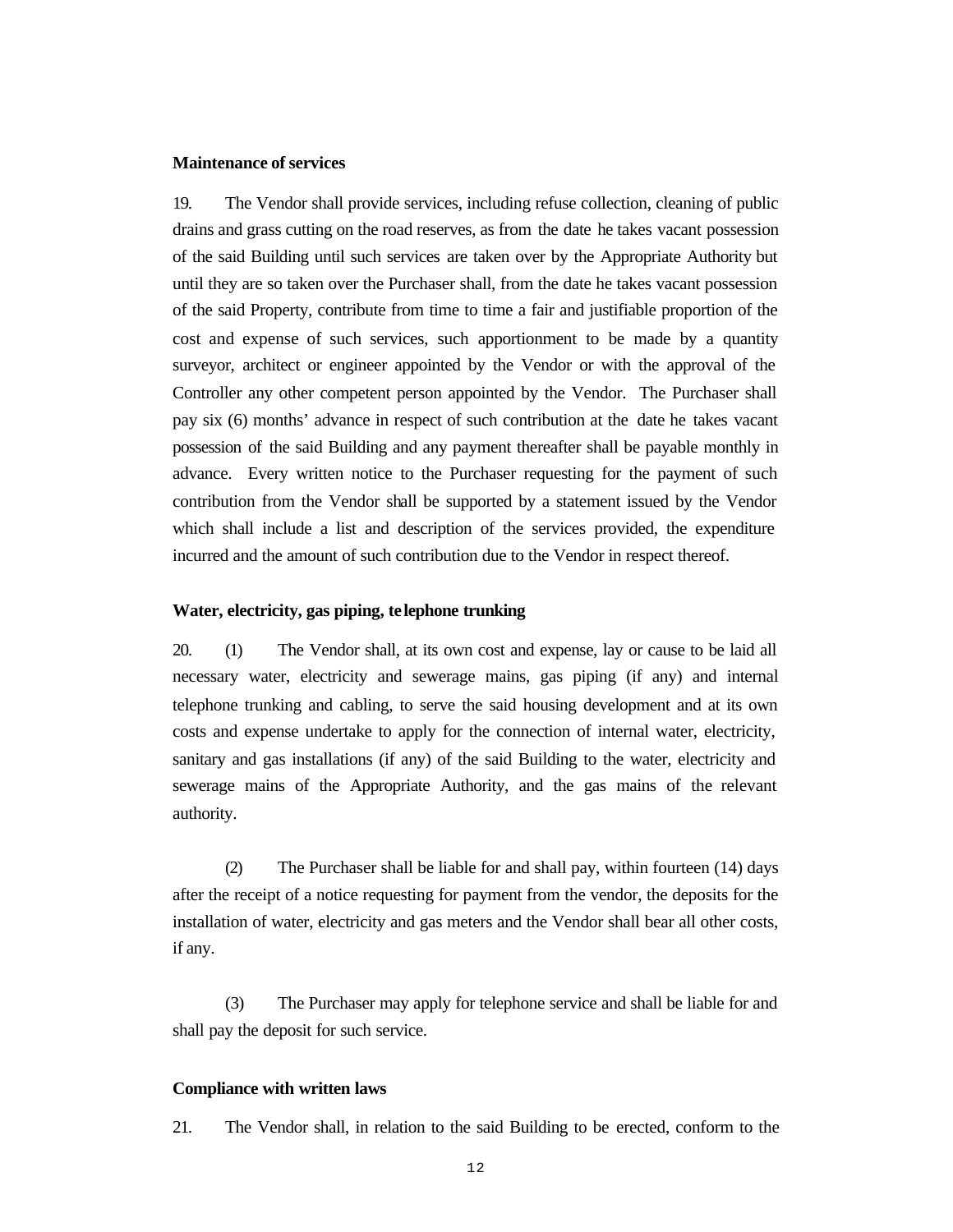#### **Maintenance of services**

19. The Vendor shall provide services, including refuse collection, cleaning of public drains and grass cutting on the road reserves, as from the date he takes vacant possession of the said Building until such services are taken over by the Appropriate Authority but until they are so taken over the Purchaser shall, from the date he takes vacant possession of the said Property, contribute from time to time a fair and justifiable proportion of the cost and expense of such services, such apportionment to be made by a quantity surveyor, architect or engineer appointed by the Vendor or with the approval of the Controller any other competent person appointed by the Vendor. The Purchaser shall pay six (6) months' advance in respect of such contribution at the date he takes vacant possession of the said Building and any payment thereafter shall be payable monthly in advance. Every written notice to the Purchaser requesting for the payment of such contribution from the Vendor shall be supported by a statement issued by the Vendor which shall include a list and description of the services provided, the expenditure incurred and the amount of such contribution due to the Vendor in respect thereof.

## **Water, electricity, gas piping, te lephone trunking**

20. (1) The Vendor shall, at its own cost and expense, lay or cause to be laid all necessary water, electricity and sewerage mains, gas piping (if any) and internal telephone trunking and cabling, to serve the said housing development and at its own costs and expense undertake to apply for the connection of internal water, electricity, sanitary and gas installations (if any) of the said Building to the water, electricity and sewerage mains of the Appropriate Authority, and the gas mains of the relevant authority.

(2) The Purchaser shall be liable for and shall pay, within fourteen (14) days after the receipt of a notice requesting for payment from the vendor, the deposits for the installation of water, electricity and gas meters and the Vendor shall bear all other costs, if any.

(3) The Purchaser may apply for telephone service and shall be liable for and shall pay the deposit for such service.

#### **Compliance with written laws**

21. The Vendor shall, in relation to the said Building to be erected, conform to the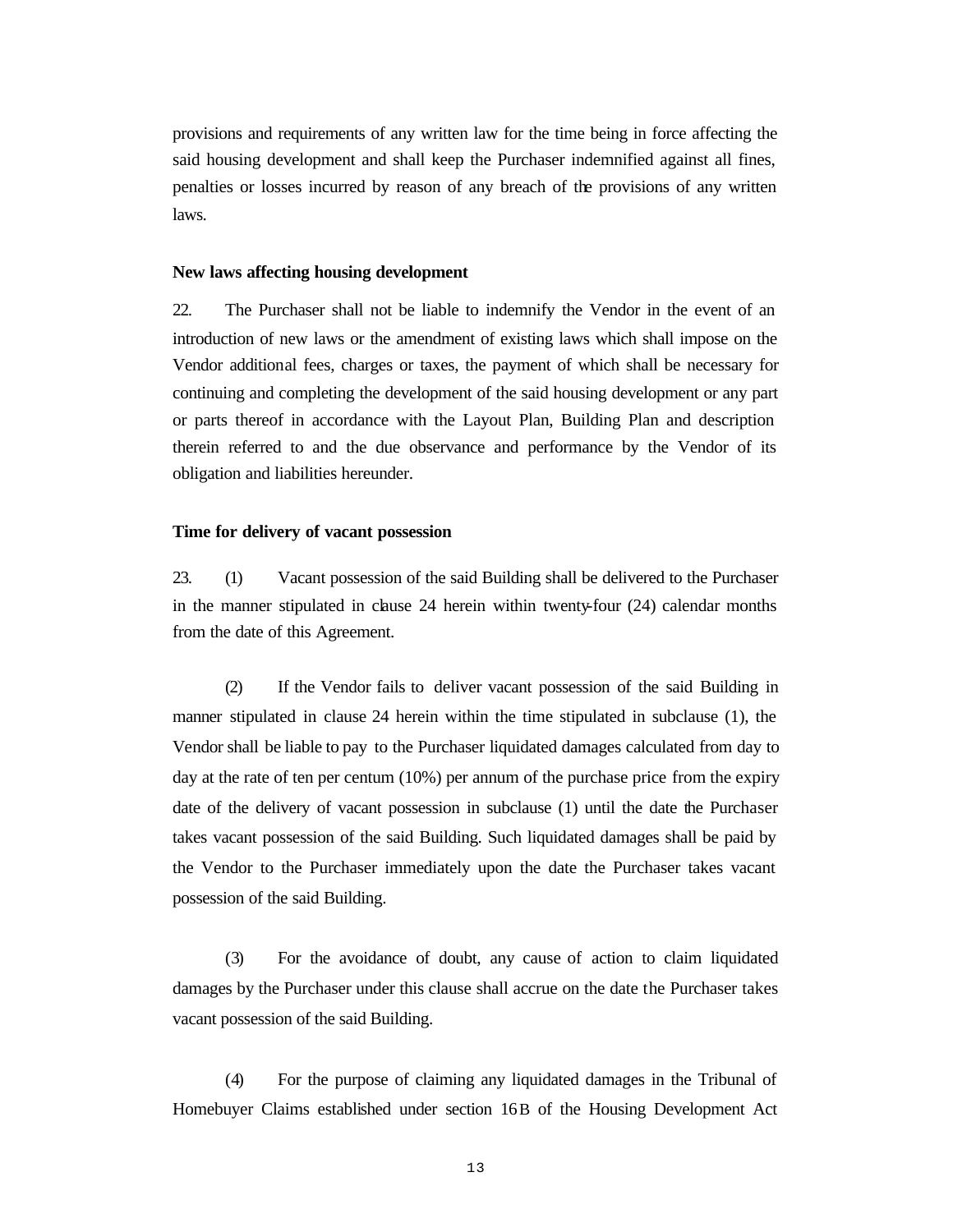provisions and requirements of any written law for the time being in force affecting the said housing development and shall keep the Purchaser indemnified against all fines, penalties or losses incurred by reason of any breach of the provisions of any written laws.

### **New laws affecting housing development**

22. The Purchaser shall not be liable to indemnify the Vendor in the event of an introduction of new laws or the amendment of existing laws which shall impose on the Vendor additional fees, charges or taxes, the payment of which shall be necessary for continuing and completing the development of the said housing development or any part or parts thereof in accordance with the Layout Plan, Building Plan and description therein referred to and the due observance and performance by the Vendor of its obligation and liabilities hereunder.

#### **Time for delivery of vacant possession**

23. (1) Vacant possession of the said Building shall be delivered to the Purchaser in the manner stipulated in clause  $24$  herein within twenty-four  $(24)$  calendar months from the date of this Agreement.

(2) If the Vendor fails to deliver vacant possession of the said Building in manner stipulated in clause 24 herein within the time stipulated in subclause (1), the Vendor shall be liable to pay to the Purchaser liquidated damages calculated from day to day at the rate of ten per centum (10%) per annum of the purchase price from the expiry date of the delivery of vacant possession in subclause (1) until the date the Purchaser takes vacant possession of the said Building. Such liquidated damages shall be paid by the Vendor to the Purchaser immediately upon the date the Purchaser takes vacant possession of the said Building.

(3) For the avoidance of doubt, any cause of action to claim liquidated damages by the Purchaser under this clause shall accrue on the date the Purchaser takes vacant possession of the said Building.

(4) For the purpose of claiming any liquidated damages in the Tribunal of Homebuyer Claims established under section 16B of the Housing Development Act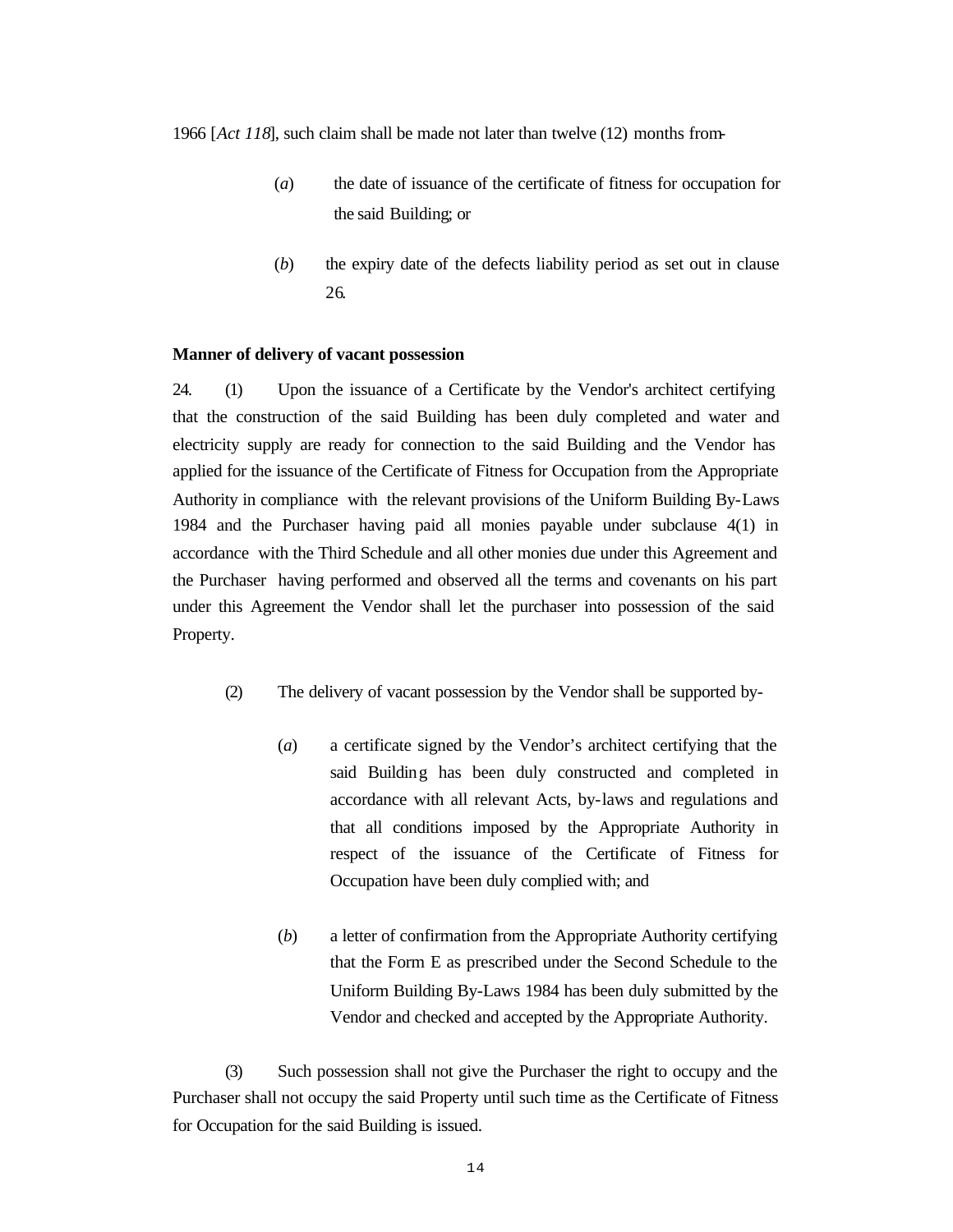1966 [*Act 118*], such claim shall be made not later than twelve (12) months from-

- (*a*) the date of issuance of the certificate of fitness for occupation for the said Building; or
- (*b*) the expiry date of the defects liability period as set out in clause 26.

### **Manner of delivery of vacant possession**

24. (1) Upon the issuance of a Certificate by the Vendor's architect certifying that the construction of the said Building has been duly completed and water and electricity supply are ready for connection to the said Building and the Vendor has applied for the issuance of the Certificate of Fitness for Occupation from the Appropriate Authority in compliance with the relevant provisions of the Uniform Building By-Laws 1984 and the Purchaser having paid all monies payable under subclause 4(1) in accordance with the Third Schedule and all other monies due under this Agreement and the Purchaser having performed and observed all the terms and covenants on his part under this Agreement the Vendor shall let the purchaser into possession of the said Property.

- (2) The delivery of vacant possession by the Vendor shall be supported by-
	- (*a*) a certificate signed by the Vendor's architect certifying that the said Building has been duly constructed and completed in accordance with all relevant Acts, by-laws and regulations and that all conditions imposed by the Appropriate Authority in respect of the issuance of the Certificate of Fitness for Occupation have been duly complied with; and
	- (*b*) a letter of confirmation from the Appropriate Authority certifying that the Form E as prescribed under the Second Schedule to the Uniform Building By-Laws 1984 has been duly submitted by the Vendor and checked and accepted by the Appropriate Authority.

(3) Such possession shall not give the Purchaser the right to occupy and the Purchaser shall not occupy the said Property until such time as the Certificate of Fitness for Occupation for the said Building is issued.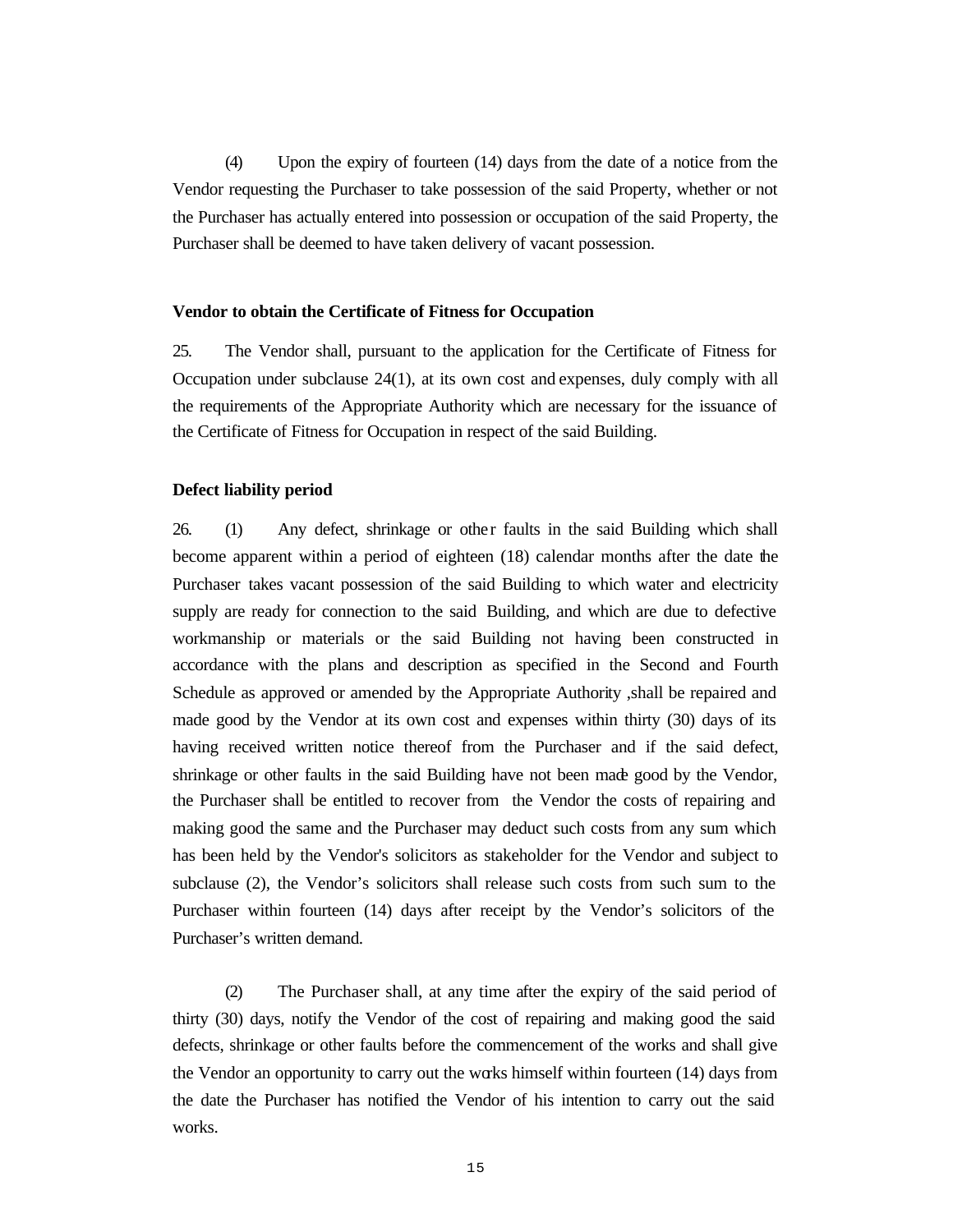(4) Upon the expiry of fourteen (14) days from the date of a notice from the Vendor requesting the Purchaser to take possession of the said Property, whether or not the Purchaser has actually entered into possession or occupation of the said Property, the Purchaser shall be deemed to have taken delivery of vacant possession.

#### **Vendor to obtain the Certificate of Fitness for Occupation**

25. The Vendor shall, pursuant to the application for the Certificate of Fitness for Occupation under subclause 24(1), at its own cost and expenses, duly comply with all the requirements of the Appropriate Authority which are necessary for the issuance of the Certificate of Fitness for Occupation in respect of the said Building.

### **Defect liability period**

26. (1) Any defect, shrinkage or other faults in the said Building which shall become apparent within a period of eighteen (18) calendar months after the date the Purchaser takes vacant possession of the said Building to which water and electricity supply are ready for connection to the said Building, and which are due to defective workmanship or materials or the said Building not having been constructed in accordance with the plans and description as specified in the Second and Fourth Schedule as approved or amended by the Appropriate Authority ,shall be repaired and made good by the Vendor at its own cost and expenses within thirty (30) days of its having received written notice thereof from the Purchaser and if the said defect, shrinkage or other faults in the said Building have not been made good by the Vendor, the Purchaser shall be entitled to recover from the Vendor the costs of repairing and making good the same and the Purchaser may deduct such costs from any sum which has been held by the Vendor's solicitors as stakeholder for the Vendor and subject to subclause (2), the Vendor's solicitors shall release such costs from such sum to the Purchaser within fourteen (14) days after receipt by the Vendor's solicitors of the Purchaser's written demand.

(2) The Purchaser shall, at any time after the expiry of the said period of thirty (30) days, notify the Vendor of the cost of repairing and making good the said defects, shrinkage or other faults before the commencement of the works and shall give the Vendor an opportunity to carry out the works himself within fourteen (14) days from the date the Purchaser has notified the Vendor of his intention to carry out the said works.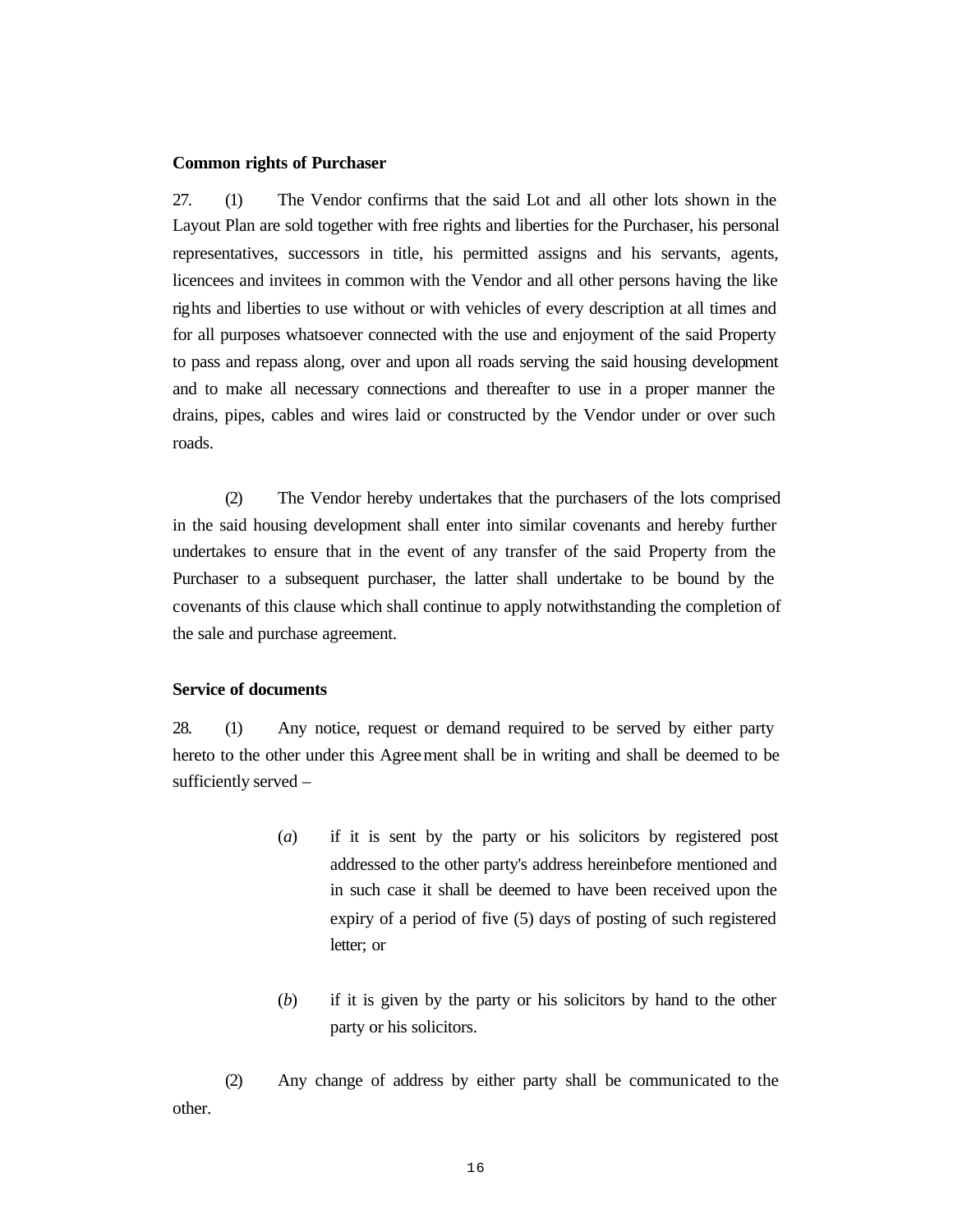#### **Common rights of Purchaser**

27. (1) The Vendor confirms that the said Lot and all other lots shown in the Layout Plan are sold together with free rights and liberties for the Purchaser, his personal representatives, successors in title, his permitted assigns and his servants, agents, licencees and invitees in common with the Vendor and all other persons having the like rights and liberties to use without or with vehicles of every description at all times and for all purposes whatsoever connected with the use and enjoyment of the said Property to pass and repass along, over and upon all roads serving the said housing development and to make all necessary connections and thereafter to use in a proper manner the drains, pipes, cables and wires laid or constructed by the Vendor under or over such roads.

(2) The Vendor hereby undertakes that the purchasers of the lots comprised in the said housing development shall enter into similar covenants and hereby further undertakes to ensure that in the event of any transfer of the said Property from the Purchaser to a subsequent purchaser, the latter shall undertake to be bound by the covenants of this clause which shall continue to apply notwithstanding the completion of the sale and purchase agreement.

### **Service of documents**

28. (1) Any notice, request or demand required to be served by either party hereto to the other under this Agreement shall be in writing and shall be deemed to be sufficiently served –

- (*a*) if it is sent by the party or his solicitors by registered post addressed to the other party's address hereinbefore mentioned and in such case it shall be deemed to have been received upon the expiry of a period of five (5) days of posting of such registered letter; or
- (*b*) if it is given by the party or his solicitors by hand to the other party or his solicitors.

(2) Any change of address by either party shall be communicated to the other.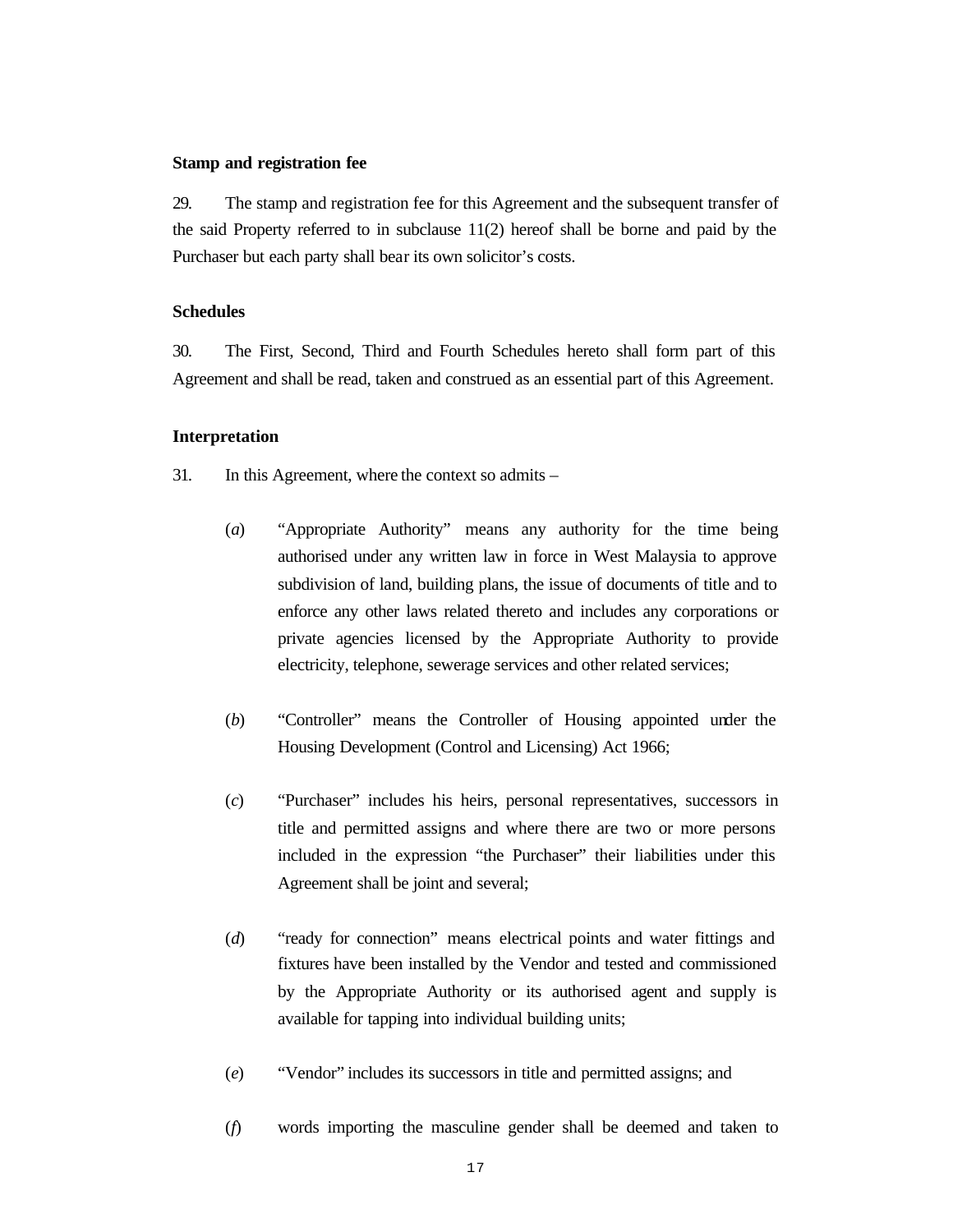### **Stamp and registration fee**

29. The stamp and registration fee for this Agreement and the subsequent transfer of the said Property referred to in subclause 11(2) hereof shall be borne and paid by the Purchaser but each party shall bear its own solicitor's costs.

### **Schedules**

30. The First, Second, Third and Fourth Schedules hereto shall form part of this Agreement and shall be read, taken and construed as an essential part of this Agreement.

### **Interpretation**

- 31. In this Agreement, where the context so admits
	- (*a*) "Appropriate Authority" means any authority for the time being authorised under any written law in force in West Malaysia to approve subdivision of land, building plans, the issue of documents of title and to enforce any other laws related thereto and includes any corporations or private agencies licensed by the Appropriate Authority to provide electricity, telephone, sewerage services and other related services;
	- (*b*) "Controller" means the Controller of Housing appointed under the Housing Development (Control and Licensing) Act 1966;
	- (*c*) "Purchaser" includes his heirs, personal representatives, successors in title and permitted assigns and where there are two or more persons included in the expression "the Purchaser" their liabilities under this Agreement shall be joint and several;
	- (*d*) "ready for connection" means electrical points and water fittings and fixtures have been installed by the Vendor and tested and commissioned by the Appropriate Authority or its authorised agent and supply is available for tapping into individual building units;
	- (*e*) "Vendor" includes its successors in title and permitted assigns; and
	- (*f*) words importing the masculine gender shall be deemed and taken to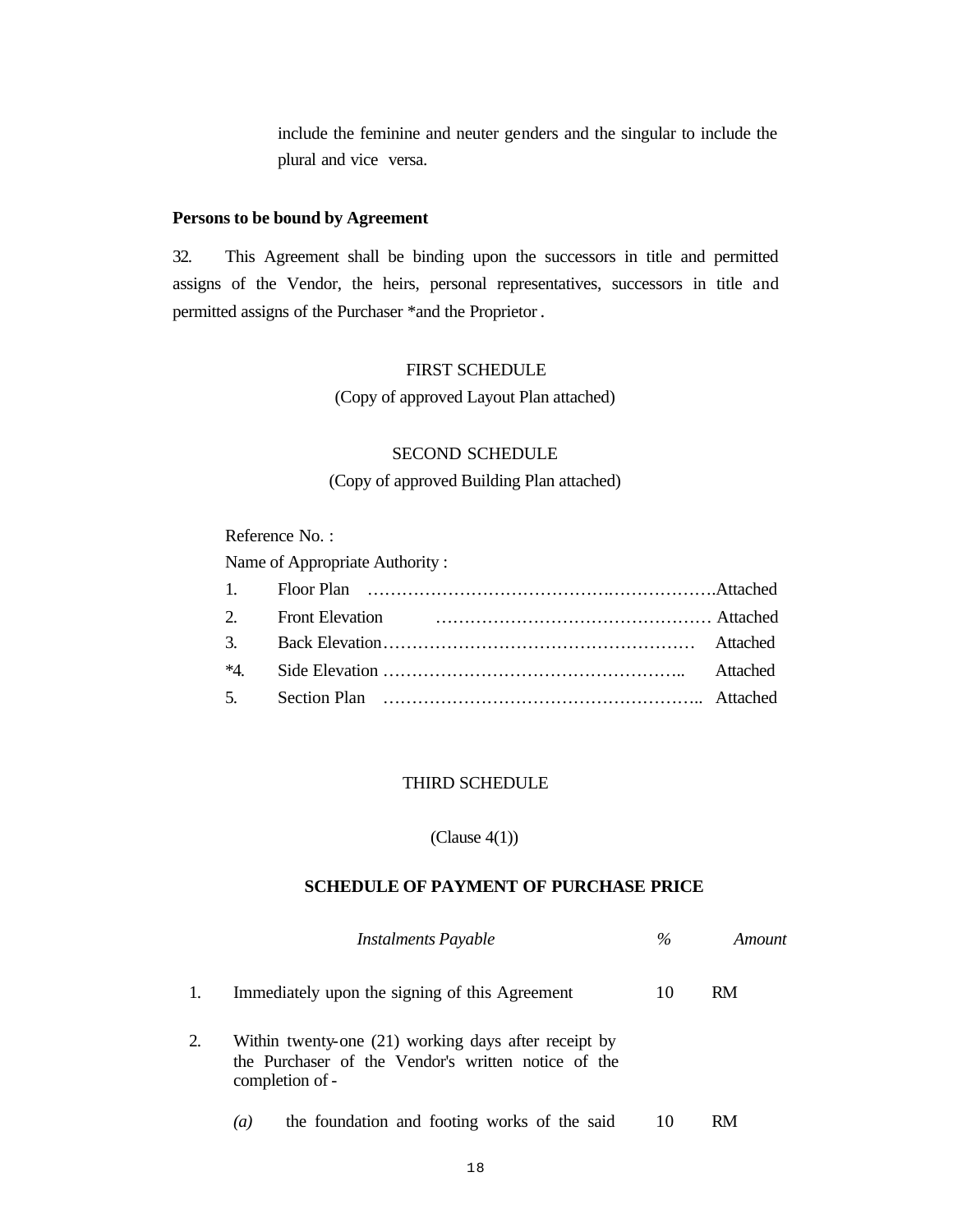include the feminine and neuter genders and the singular to include the plural and vice versa.

### **Persons to be bound by Agreement**

32. This Agreement shall be binding upon the successors in title and permitted assigns of the Vendor, the heirs, personal representatives, successors in title and permitted assigns of the Purchaser \*and the Proprietor .

## FIRST SCHEDULE

(Copy of approved Layout Plan attached)

# SECOND SCHEDULE

(Copy of approved Building Plan attached)

Reference No. :

Name of Appropriate Authority :

### THIRD SCHEDULE

## $(Clause 4(1))$

## **SCHEDULE OF PAYMENT OF PURCHASE PRICE**

|    | <b>Instalments Payable</b>                                                                                                     | $\%$ | Amount    |
|----|--------------------------------------------------------------------------------------------------------------------------------|------|-----------|
| 1. | Immediately upon the signing of this Agreement                                                                                 | 10   | <b>RM</b> |
| 2. | Within twenty-one (21) working days after receipt by<br>the Purchaser of the Vendor's written notice of the<br>completion of - |      |           |
|    | the foundation and footing works of the said<br>$\left(a\right)$                                                               | 10   | RM        |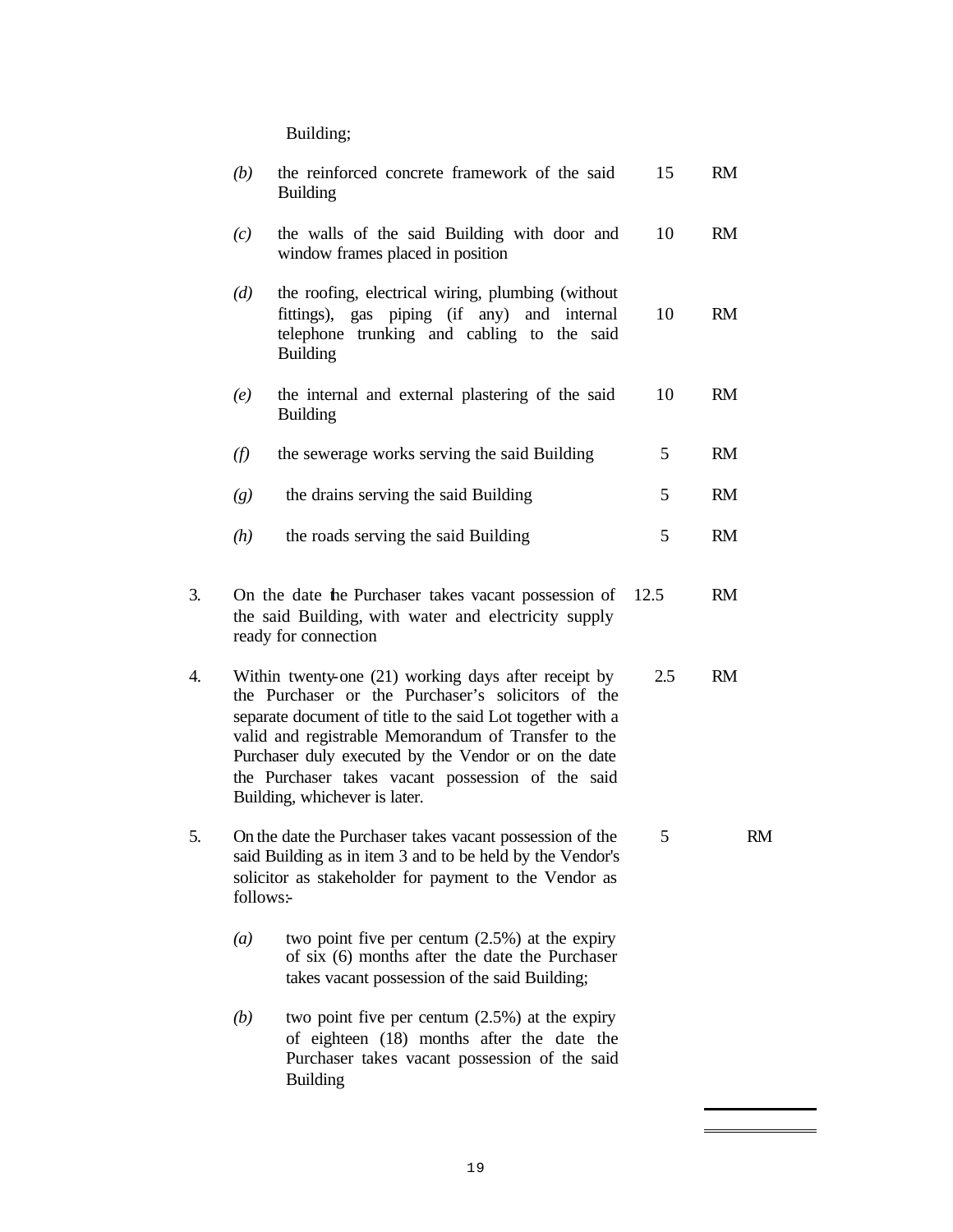Building;

|    | (b)       | the reinforced concrete framework of the said<br><b>Building</b>                                                                                                                                                                                                                                                                                                                | 15   | <b>RM</b> |
|----|-----------|---------------------------------------------------------------------------------------------------------------------------------------------------------------------------------------------------------------------------------------------------------------------------------------------------------------------------------------------------------------------------------|------|-----------|
|    | (c)       | the walls of the said Building with door and<br>window frames placed in position                                                                                                                                                                                                                                                                                                | 10   | <b>RM</b> |
|    | (d)       | the roofing, electrical wiring, plumbing (without<br>fittings), gas piping (if any) and internal<br>telephone trunking and cabling to the said<br><b>Building</b>                                                                                                                                                                                                               | 10   | <b>RM</b> |
|    | (e)       | the internal and external plastering of the said<br><b>Building</b>                                                                                                                                                                                                                                                                                                             | 10   | <b>RM</b> |
|    | (f)       | the sewerage works serving the said Building                                                                                                                                                                                                                                                                                                                                    | 5    | <b>RM</b> |
|    | (g)       | the drains serving the said Building                                                                                                                                                                                                                                                                                                                                            | 5    | <b>RM</b> |
|    | (h)       | the roads serving the said Building                                                                                                                                                                                                                                                                                                                                             | 5    | <b>RM</b> |
| 3. |           | On the date the Purchaser takes vacant possession of<br>the said Building, with water and electricity supply<br>ready for connection                                                                                                                                                                                                                                            | 12.5 | <b>RM</b> |
| 4. |           | Within twenty-one $(21)$ working days after receipt by<br>the Purchaser or the Purchaser's solicitors of the<br>separate document of title to the said Lot together with a<br>valid and registrable Memorandum of Transfer to the<br>Purchaser duly executed by the Vendor or on the date<br>the Purchaser takes vacant possession of the said<br>Building, whichever is later. | 2.5  | <b>RM</b> |
| 5. | follows:- | On the date the Purchaser takes vacant possession of the<br>said Building as in item 3 and to be held by the Vendor's<br>solicitor as stakeholder for payment to the Vendor as                                                                                                                                                                                                  | 5    | RM        |
|    | (a)       | two point five per centum $(2.5\%)$ at the expiry<br>of six (6) months after the date the Purchaser<br>takes vacant possession of the said Building;                                                                                                                                                                                                                            |      |           |
|    | (b)       | two point five per centum $(2.5%)$ at the expiry<br>of eighteen (18) months after the date the<br>Purchaser takes vacant possession of the said<br><b>Building</b>                                                                                                                                                                                                              |      |           |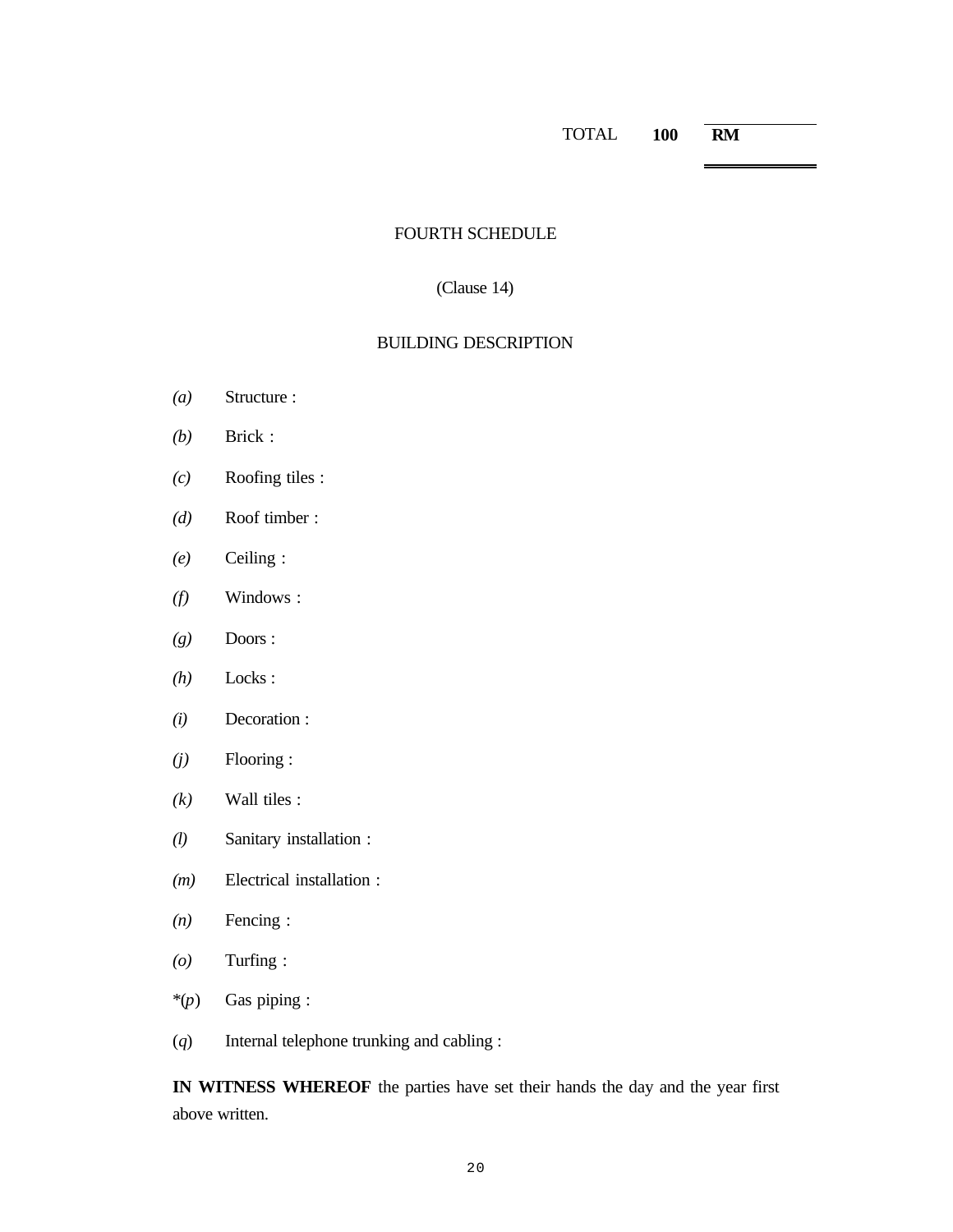TOTAL **100 RM**

## FOURTH SCHEDULE

## (Clause 14)

# BUILDING DESCRIPTION

- *(a)* Structure :
- *(b)* Brick :
- *(c)* Roofing tiles :
- *(d)* Roof timber :
- *(e)* Ceiling :
- *(f)* Windows :
- *(g)* Doors :
- *(h)* Locks :
- *(i)* Decoration :
- *(j)* Flooring :
- *(k)* Wall tiles :
- *(l)* Sanitary installation :
- *(m)* Electrical installation :
- *(n)* Fencing :
- *(o)* Turfing :
- \*(*p*) Gas piping :
- (*q*) Internal telephone trunking and cabling :

**IN WITNESS WHEREOF** the parties have set their hands the day and the year first above written.